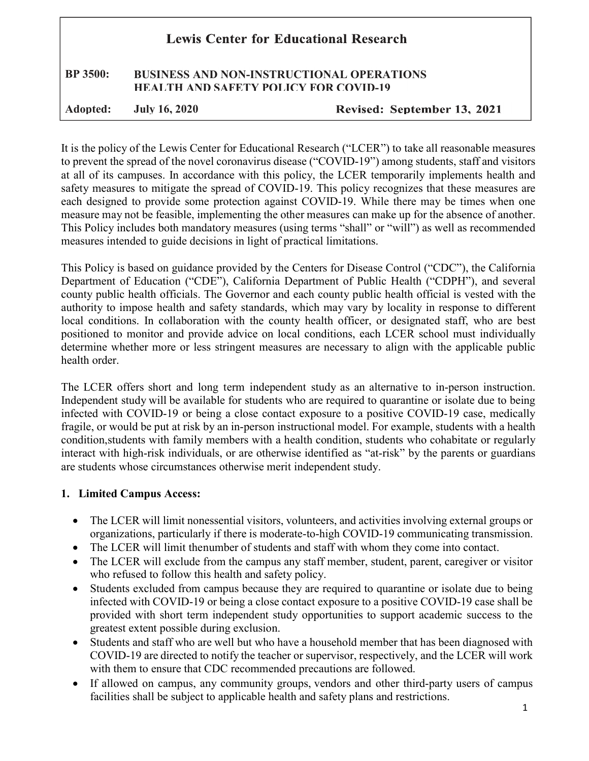# **Lewis Center for Educational Research** BP 3500: BUSINESS AND NON-INSTRUCTIONAL OPERATIONS HEALTH AND SAFETY POLICY FOR COVID-19

Adopted: July 16, 2020

Revised: September 13, 2021

It is the policy of the Lewis Center for Educational Research ("LCER") to take all reasonable measures to prevent the spread of the novel coronavirus disease ("COVID-19") among students, staff and visitors at all of its campuses. In accordance with this policy, the LCER temporarily implements health and safety measures to mitigate the spread of COVID-19. This policy recognizes that these measures are each designed to provide some protection against COVID-19. While there may be times when one measure may not be feasible, implementing the other measures can make up for the absence of another. This Policy includes both mandatory measures (using terms "shall" or "will") as well as recommended measures intended to guide decisions in light of practical limitations.

This Policy is based on guidance provided by the Centers for Disease Control ("CDC"), the California Department of Education ("CDE"), California Department of Public Health ("CDPH"), and several county public health officials. The Governor and each county public health official is vested with the authority to impose health and safety standards, which may vary by locality in response to different local conditions. In collaboration with the county health officer, or designated staff, who are best positioned to monitor and provide advice on local conditions, each LCER school must individually determine whether more or less stringent measures are necessary to align with the applicable public health order.

The LCER offers short and long term independent study as an alternative to in-person instruction. Independent study will be available for students who are required to quarantine or isolate due to being infected with COVID-19 or being a close contact exposure to a positive COVID-19 case, medically fragile, or would be put at risk by an in-person instructional model. For example, students with a health condition, students with family members with a health condition, students who cohabitate or regularly interact with high-risk individuals, or are otherwise identified as "at-risk" by the parents or guardians are students whose circumstances otherwise merit independent study.

#### 1. Limited Campus Access:

- The LCER will limit nonessential visitors, volunteers, and activities involving external groups or organizations, particularly if there is moderate-to-high COVID-19 communicating transmission.
- The LCER will limit the number of students and staff with whom they come into contact.
- The LCER will exclude from the campus any staff member, student, parent, caregiver or visitor who refused to follow this health and safety policy.
- Students excluded from campus because they are required to quarantine or isolate due to being infected with COVID-19 or being a close contact exposure to a positive COVID-19 case shall be provided with short term independent study opportunities to support academic success to the greatest extent possible during exclusion.
- Students and staff who are well but who have a household member that has been diagnosed with COVID-19 are directed to notify the teacher or supervisor, respectively, and the LCER will work with them to ensure that CDC recommended precautions are followed.
- If allowed on campus, any community groups, vendors and other third-party users of campus facilities shall be subject to applicable health and safety plans and restrictions.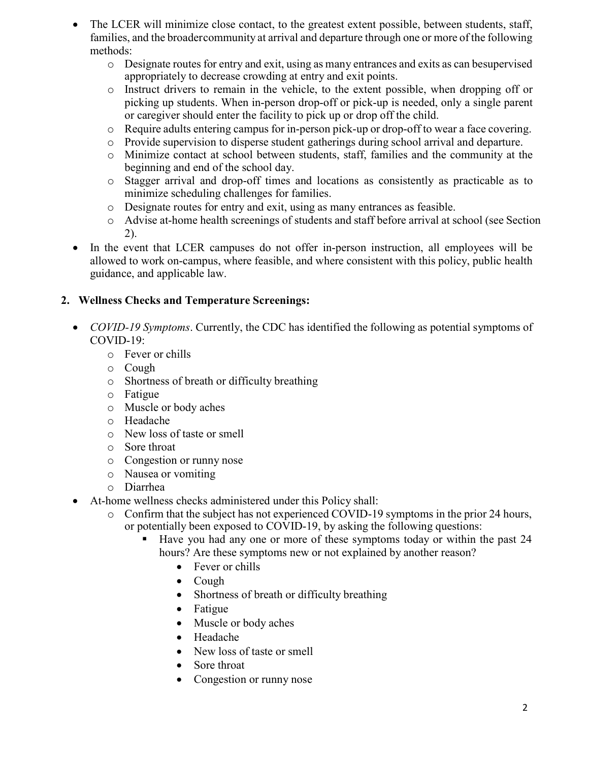- The LCER will minimize close contact, to the greatest extent possible, between students, staff, families, and the broader community at arrival and departure through one or more of the following methods:
	- o Designate routes for entry and exit, using as many entrances and exits as can be supervised appropriately to decrease crowding at entry and exit points.
	- o Instruct drivers to remain in the vehicle, to the extent possible, when dropping off or picking up students. When in-person drop-off or pick-up is needed, only a single parent or caregiver should enter the facility to pick up or drop off the child.
	- o Require adults entering campus for in-person pick-up or drop-off to wear a face covering.
	- o Provide supervision to disperse student gatherings during school arrival and departure.
	- o Minimize contact at school between students, staff, families and the community at the beginning and end of the school day.
	- o Stagger arrival and drop-off times and locations as consistently as practicable as to minimize scheduling challenges for families.
	- o Designate routes for entry and exit, using as many entrances as feasible.
	- o Advise at-home health screenings of students and staff before arrival at school (see Section 2).
- In the event that LCER campuses do not offer in-person instruction, all employees will be allowed to work on-campus, where feasible, and where consistent with this policy, public health guidance, and applicable law.

#### 2. Wellness Checks and Temperature Screenings:

- COVID-19 Symptoms. Currently, the CDC has identified the following as potential symptoms of COVID-19:
	- o Fever or chills
	- o Cough
	- o Shortness of breath or difficulty breathing
	- o Fatigue
	- o Muscle or body aches
	- o Headache
	- o New loss of taste or smell
	- o Sore throat
	- o Congestion or runny nose
	- o Nausea or vomiting
	- o Diarrhea
- At-home wellness checks administered under this Policy shall:
	- o Confirm that the subject has not experienced COVID-19 symptoms in the prior 24 hours, or potentially been exposed to COVID-19, by asking the following questions:
		- Have you had any one or more of these symptoms today or within the past 24 hours? Are these symptoms new or not explained by another reason?
			- Fever or chills
			- Cough
			- Shortness of breath or difficulty breathing
			- Fatigue
			- Muscle or body aches
			- Headache
			- New loss of taste or smell
			- Sore throat
			- Congestion or runny nose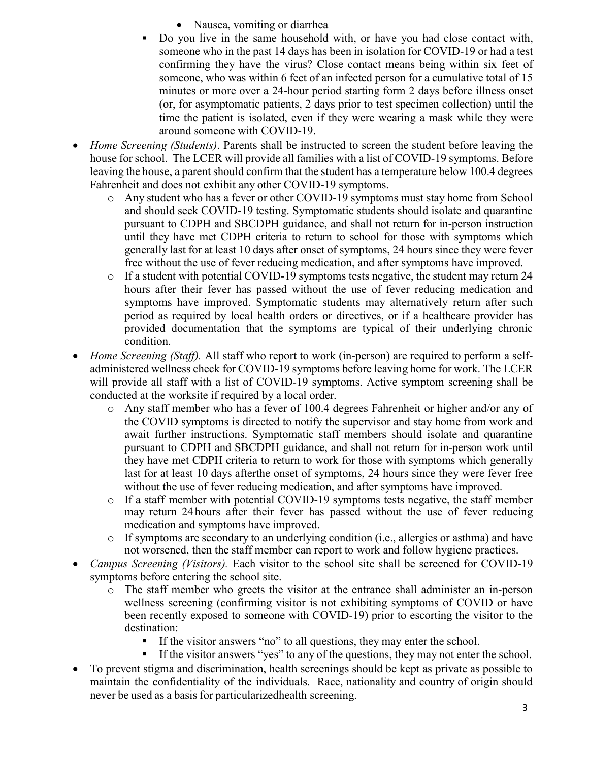- Nausea, vomiting or diarrhea
- Do you live in the same household with, or have you had close contact with, someone who in the past 14 days has been in isolation for COVID-19 or had a test confirming they have the virus? Close contact means being within six feet of someone, who was within 6 feet of an infected person for a cumulative total of 15 minutes or more over a 24-hour period starting form 2 days before illness onset (or, for asymptomatic patients, 2 days prior to test specimen collection) until the time the patient is isolated, even if they were wearing a mask while they were around someone with COVID-19.
- Home Screening (Students). Parents shall be instructed to screen the student before leaving the house for school. The LCER will provide all families with a list of COVID-19 symptoms. Before leaving the house, a parent should confirm that the student has a temperature below 100.4 degrees Fahrenheit and does not exhibit any other COVID-19 symptoms.
	- o Any student who has a fever or other COVID-19 symptoms must stay home from School and should seek COVID-19 testing. Symptomatic students should isolate and quarantine pursuant to CDPH and SBCDPH guidance, and shall not return for in-person instruction until they have met CDPH criteria to return to school for those with symptoms which generally last for at least 10 days after onset of symptoms, 24 hours since they were fever free without the use of fever reducing medication, and after symptoms have improved.
	- $\circ$  If a student with potential COVID-19 symptoms tests negative, the student may return 24 hours after their fever has passed without the use of fever reducing medication and symptoms have improved. Symptomatic students may alternatively return after such period as required by local health orders or directives, or if a healthcare provider has provided documentation that the symptoms are typical of their underlying chronic condition.
- Home Screening (Staff). All staff who report to work (in-person) are required to perform a selfadministered wellness check for COVID-19 symptoms before leaving home for work. The LCER will provide all staff with a list of COVID-19 symptoms. Active symptom screening shall be conducted at the worksite if required by a local order.
	- o Any staff member who has a fever of 100.4 degrees Fahrenheit or higher and/or any of the COVID symptoms is directed to notify the supervisor and stay home from work and await further instructions. Symptomatic staff members should isolate and quarantine pursuant to CDPH and SBCDPH guidance, and shall not return for in-person work until they have met CDPH criteria to return to work for those with symptoms which generally last for at least 10 days after the onset of symptoms, 24 hours since they were fever free without the use of fever reducing medication, and after symptoms have improved.
	- o If a staff member with potential COVID-19 symptoms tests negative, the staff member may return 24 hours after their fever has passed without the use of fever reducing medication and symptoms have improved.
	- o If symptoms are secondary to an underlying condition (i.e., allergies or asthma) and have not worsened, then the staff member can report to work and follow hygiene practices.
- Campus Screening (Visitors). Each visitor to the school site shall be screened for COVID-19 symptoms before entering the school site.
	- o The staff member who greets the visitor at the entrance shall administer an in-person wellness screening (confirming visitor is not exhibiting symptoms of COVID or have been recently exposed to someone with COVID-19) prior to escorting the visitor to the destination:
		- If the visitor answers "no" to all questions, they may enter the school.
		- If the visitor answers "yes" to any of the questions, they may not enter the school.
- To prevent stigma and discrimination, health screenings should be kept as private as possible to maintain the confidentiality of the individuals. Race, nationality and country of origin should never be used as a basis for particularized health screening.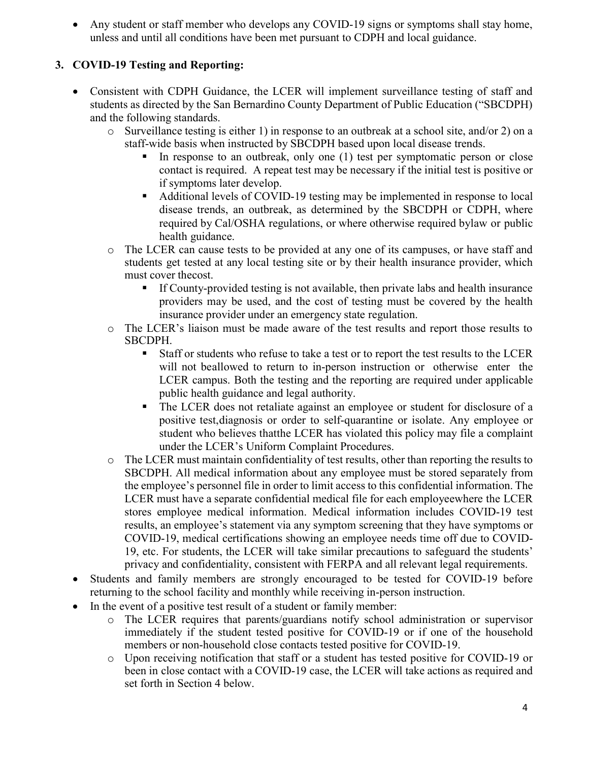Any student or staff member who develops any COVID-19 signs or symptoms shall stay home, unless and until all conditions have been met pursuant to CDPH and local guidance.

#### 3. COVID-19 Testing and Reporting:

- Consistent with CDPH Guidance, the LCER will implement surveillance testing of staff and students as directed by the San Bernardino County Department of Public Education ("SBCDPH) and the following standards.
	- $\circ$  Surveillance testing is either 1) in response to an outbreak at a school site, and/or 2) on a staff-wide basis when instructed by SBCDPH based upon local disease trends.
		- In response to an outbreak, only one (1) test per symptomatic person or close contact is required. A repeat test may be necessary if the initial test is positive or if symptoms later develop.
		- Additional levels of COVID-19 testing may be implemented in response to local disease trends, an outbreak, as determined by the SBCDPH or CDPH, where required by Cal/OSHA regulations, or where otherwise required by law or public health guidance.
	- o The LCER can cause tests to be provided at any one of its campuses, or have staff and students get tested at any local testing site or by their health insurance provider, which must cover the cost.
		- If County-provided testing is not available, then private labs and health insurance providers may be used, and the cost of testing must be covered by the health insurance provider under an emergency state regulation.
	- o The LCER's liaison must be made aware of the test results and report those results to SBCDPH.
		- Staff or students who refuse to take a test or to report the test results to the LCER will not be allowed to return to in-person instruction or otherwise enter the LCER campus. Both the testing and the reporting are required under applicable public health guidance and legal authority.
		- The LCER does not retaliate against an employee or student for disclosure of a positive test, diagnosis or order to self-quarantine or isolate. Any employee or student who believes that the LCER has violated this policy may file a complaint under the LCER's Uniform Complaint Procedures.
	- o The LCER must maintain confidentiality of test results, other than reporting the results to SBCDPH. All medical information about any employee must be stored separately from the employee's personnel file in order to limit access to this confidential information. The LCER must have a separate confidential medical file for each employee where the LCER stores employee medical information. Medical information includes COVID-19 test results, an employee's statement via any symptom screening that they have symptoms or COVID-19, medical certifications showing an employee needs time off due to COVID-19, etc. For students, the LCER will take similar precautions to safeguard the students' privacy and confidentiality, consistent with FERPA and all relevant legal requirements.
- Students and family members are strongly encouraged to be tested for COVID-19 before returning to the school facility and monthly while receiving in-person instruction.
- In the event of a positive test result of a student or family member:
	- o The LCER requires that parents/guardians notify school administration or supervisor immediately if the student tested positive for COVID-19 or if one of the household members or non-household close contacts tested positive for COVID-19.
	- o Upon receiving notification that staff or a student has tested positive for COVID-19 or been in close contact with a COVID-19 case, the LCER will take actions as required and set forth in Section 4 below.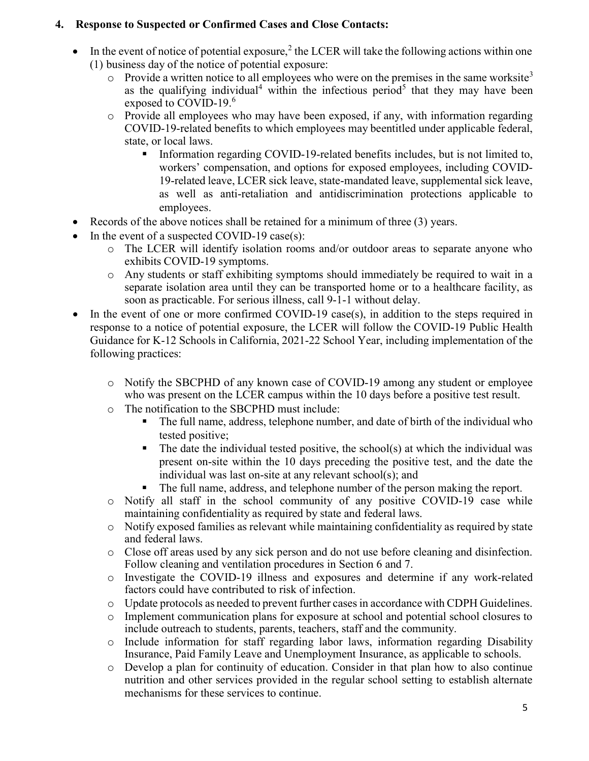#### 4. Response to Suspected or Confirmed Cases and Close Contacts:

- In the event of notice of potential exposure,<sup>2</sup> the LCER will take the following actions within one (1) business day of the notice of potential exposure:
	- $\circ$  Provide a written notice to all employees who were on the premises in the same worksite<sup>3</sup> as the qualifying individual<sup>4</sup> within the infectious period<sup>5</sup> that they may have been exposed to COVID-19.<sup>6</sup>
	- o Provide all employees who may have been exposed, if any, with information regarding COVID-19-related benefits to which employees may be entitled under applicable federal, state, or local laws.
		- Information regarding COVID-19-related benefits includes, but is not limited to, workers' compensation, and options for exposed employees, including COVID-19-related leave, LCER sick leave, state-mandated leave, supplemental sick leave, as well as anti-retaliation and antidiscrimination protections applicable to employees.
- Records of the above notices shall be retained for a minimum of three (3) years.
- In the event of a suspected COVID-19 case(s):
	- o The LCER will identify isolation rooms and/or outdoor areas to separate anyone who exhibits COVID-19 symptoms.
	- o Any students or staff exhibiting symptoms should immediately be required to wait in a separate isolation area until they can be transported home or to a healthcare facility, as soon as practicable. For serious illness, call 9-1-1 without delay.
- $\bullet$  In the event of one or more confirmed COVID-19 case(s), in addition to the steps required in response to a notice of potential exposure, the LCER will follow the COVID-19 Public Health Guidance for K-12 Schools in California, 2021-22 School Year, including implementation of the following practices:
	- o Notify the SBCPHD of any known case of COVID-19 among any student or employee who was present on the LCER campus within the 10 days before a positive test result.
	- o The notification to the SBCPHD must include:
		- The full name, address, telephone number, and date of birth of the individual who tested positive;
		- The date the individual tested positive, the school(s) at which the individual was present on-site within the 10 days preceding the positive test, and the date the individual was last on-site at any relevant school(s); and
		- The full name, address, and telephone number of the person making the report.
	- o Notify all staff in the school community of any positive COVID-19 case while maintaining confidentiality as required by state and federal laws.
	- o Notify exposed families as relevant while maintaining confidentiality as required by state and federal laws.
	- o Close off areas used by any sick person and do not use before cleaning and disinfection. Follow cleaning and ventilation procedures in Section 6 and 7.
	- o Investigate the COVID-19 illness and exposures and determine if any work-related factors could have contributed to risk of infection.
	- o Update protocols as needed to prevent further cases in accordance with CDPH Guidelines.
	- o Implement communication plans for exposure at school and potential school closures to include outreach to students, parents, teachers, staff and the community.
	- o Include information for staff regarding labor laws, information regarding Disability Insurance, Paid Family Leave and Unemployment Insurance, as applicable to schools.
	- o Develop a plan for continuity of education. Consider in that plan how to also continue nutrition and other services provided in the regular school setting to establish alternate mechanisms for these services to continue.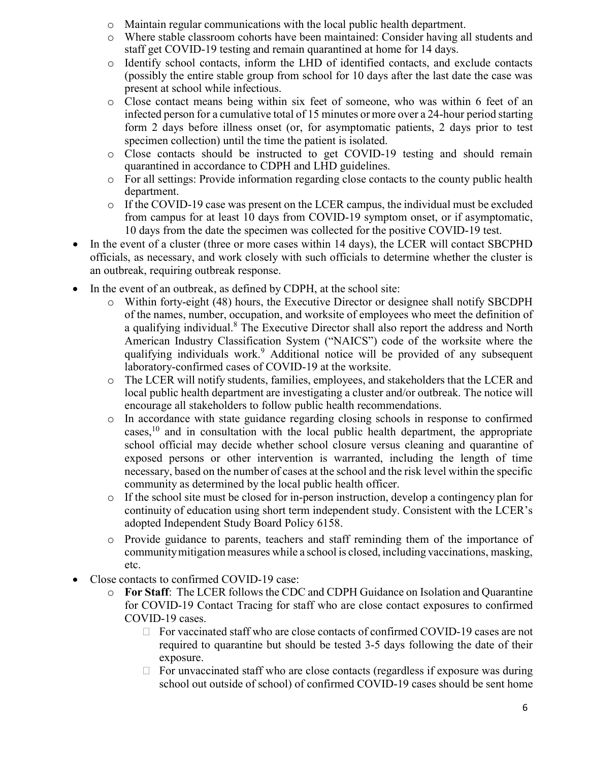- o Maintain regular communications with the local public health department.
- o Where stable classroom cohorts have been maintained: Consider having all students and staff get COVID-19 testing and remain quarantined at home for 14 days.
- o Identify school contacts, inform the LHD of identified contacts, and exclude contacts (possibly the entire stable group from school for 10 days after the last date the case was present at school while infectious.
- o Close contact means being within six feet of someone, who was within 6 feet of an infected person for a cumulative total of 15 minutes or more over a 24-hour period starting form 2 days before illness onset (or, for asymptomatic patients, 2 days prior to test specimen collection) until the time the patient is isolated.
- o Close contacts should be instructed to get COVID-19 testing and should remain quarantined in accordance to CDPH and LHD guidelines.
- o For all settings: Provide information regarding close contacts to the county public health department.
- $\circ$  If the COVID-19 case was present on the LCER campus, the individual must be excluded from campus for at least 10 days from COVID-19 symptom onset, or if asymptomatic, 10 days from the date the specimen was collected for the positive COVID-19 test.
- In the event of a cluster (three or more cases within 14 days), the LCER will contact SBCPHD officials, as necessary, and work closely with such officials to determine whether the cluster is an outbreak, requiring outbreak response.
- In the event of an outbreak, as defined by CDPH, at the school site:
	- o Within forty-eight (48) hours, the Executive Director or designee shall notify SBCDPH of the names, number, occupation, and worksite of employees who meet the definition of a qualifying individual.<sup>8</sup> The Executive Director shall also report the address and North American Industry Classification System ("NAICS") code of the worksite where the qualifying individuals work.<sup>9</sup> Additional notice will be provided of any subsequent laboratory-confirmed cases of COVID-19 at the worksite.
	- o The LCER will notify students, families, employees, and stakeholders that the LCER and local public health department are investigating a cluster and/or outbreak. The notice will encourage all stakeholders to follow public health recommendations.
	- o In accordance with state guidance regarding closing schools in response to confirmed cases,  $\frac{10}{10}$  and in consultation with the local public health department, the appropriate school official may decide whether school closure versus cleaning and quarantine of exposed persons or other intervention is warranted, including the length of time necessary, based on the number of cases at the school and the risk level within the specific community as determined by the local public health officer.
	- o If the school site must be closed for in-person instruction, develop a contingency plan for continuity of education using short term independent study. Consistent with the LCER's adopted Independent Study Board Policy 6158.
	- o Provide guidance to parents, teachers and staff reminding them of the importance of community mitigation measures while a school is closed, including vaccinations, masking, etc.
- Close contacts to confirmed COVID-19 case:
	- o For Staff: The LCER follows the CDC and CDPH Guidance on Isolation and Quarantine for COVID-19 Contact Tracing for staff who are close contact exposures to confirmed COVID-19 cases.
		- $\Box$  For vaccinated staff who are close contacts of confirmed COVID-19 cases are not required to quarantine but should be tested 3-5 days following the date of their exposure.
		- $\Box$  For unvaccinated staff who are close contacts (regardless if exposure was during school out outside of school) of confirmed COVID-19 cases should be sent home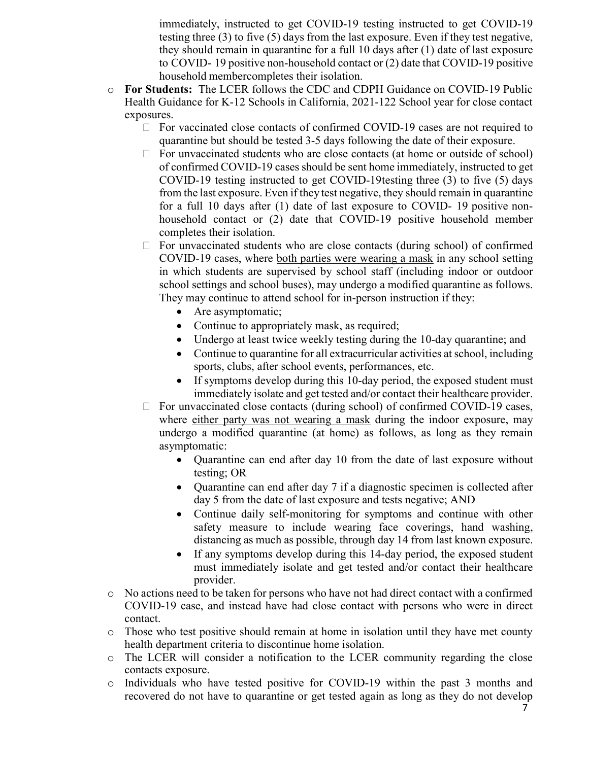immediately, instructed to get COVID-19 testing instructed to get COVID-19 testing three (3) to five (5) days from the last exposure. Even if they test negative, they should remain in quarantine for a full 10 days after (1) date of last exposure to COVID- 19 positive non-household contact or (2) date that COVID-19 positive household member completes their isolation.

- o For Students: The LCER follows the CDC and CDPH Guidance on COVID-19 Public Health Guidance for K-12 Schools in California, 2021-122 School year for close contact exposures.
	- $\Box$  For vaccinated close contacts of confirmed COVID-19 cases are not required to quarantine but should be tested 3-5 days following the date of their exposure.
	- $\Box$  For unvaccinated students who are close contacts (at home or outside of school) of confirmed COVID-19 cases should be sent home immediately, instructed to get COVID-19 testing instructed to get COVID-19 testing three (3) to five (5) days from the last exposure. Even if they test negative, they should remain in quarantine for a full 10 days after (1) date of last exposure to COVID- 19 positive nonhousehold contact or (2) date that COVID-19 positive household member completes their isolation.
	- $\Box$  For unvaccinated students who are close contacts (during school) of confirmed COVID-19 cases, where both parties were wearing a mask in any school setting in which students are supervised by school staff (including indoor or outdoor school settings and school buses), may undergo a modified quarantine as follows. They may continue to attend school for in-person instruction if they:
		- Are asymptomatic;
		- Continue to appropriately mask, as required;
		- Undergo at least twice weekly testing during the 10-day quarantine; and
		- Continue to quarantine for all extracurricular activities at school, including sports, clubs, after school events, performances, etc.
		- If symptoms develop during this 10-day period, the exposed student must immediately isolate and get tested and/or contact their healthcare provider.
	- $\Box$  For unvaccinated close contacts (during school) of confirmed COVID-19 cases, where either party was not wearing a mask during the indoor exposure, may undergo a modified quarantine (at home) as follows, as long as they remain asymptomatic:
		- Quarantine can end after day 10 from the date of last exposure without testing; OR
		- Quarantine can end after day 7 if a diagnostic specimen is collected after day 5 from the date of last exposure and tests negative; AND
		- Continue daily self-monitoring for symptoms and continue with other safety measure to include wearing face coverings, hand washing, distancing as much as possible, through day 14 from last known exposure.
		- If any symptoms develop during this 14-day period, the exposed student must immediately isolate and get tested and/or contact their healthcare provider.
- o No actions need to be taken for persons who have not had direct contact with a confirmed COVID-19 case, and instead have had close contact with persons who were in direct contact.
- $\circ$  Those who test positive should remain at home in isolation until they have met county health department criteria to discontinue home isolation.
- o The LCER will consider a notification to the LCER community regarding the close contacts exposure.
- o Individuals who have tested positive for COVID-19 within the past 3 months and recovered do not have to quarantine or get tested again as long as they do not develop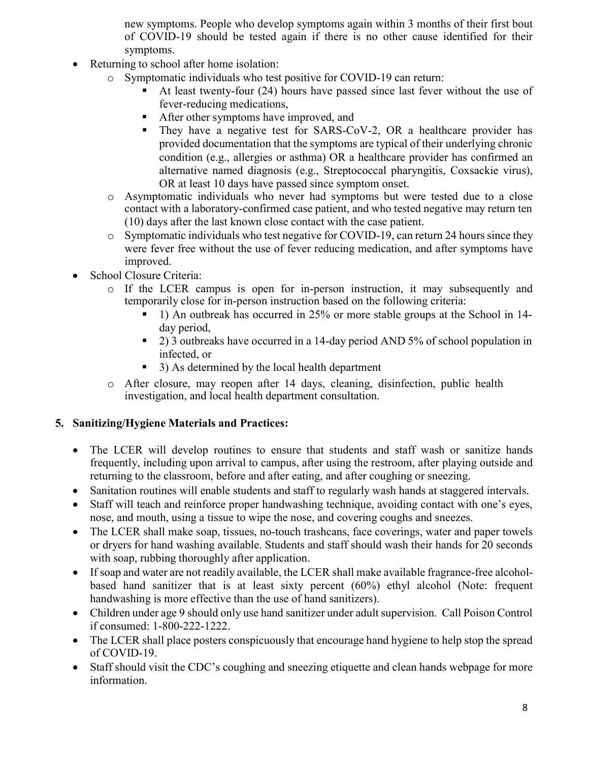new symptoms. People who develop symptoms again within 3 months of their first bout of COVID-19 should be tested again if there is no other cause identified for their symptoms.

- Returning to school after home isolation:
	- o Symptomatic individuals who test positive for COVID-19 can return:
		- At least twenty-four (24) hours have passed since last fever without the use of fever-reducing medications,
		- After other symptoms have improved, and
		- They have a negative test for SARS-CoV-2, OR a healthcare provider has provided documentation that the symptoms are typical of their underlying chronic condition (e.g., allergies or asthma) OR a healthcare provider has confirmed an alternative named diagnosis (e.g., Streptococcal pharyngitis, Coxsackie virus), OR at least 10 days have passed since symptom onset.
	- o Asymptomatic individuals who never had symptoms but were tested due to a close contact with a laboratory-confirmed case patient, and who tested negative may return ten (10) days after the last known close contact with the case patient.
	- $\circ$  Symptomatic individuals who test negative for COVID-19, can return 24 hours since they were fever free without the use of fever reducing medication, and after symptoms have improved.
- School Closure Criteria:
	- o If the LCER campus is open for in-person instruction, it may subsequently and temporarily close for in-person instruction based on the following criteria:
		- 1) An outbreak has occurred in 25% or more stable groups at the School in 14 day period,
		- 2) 3 outbreaks have occurred in a 14-day period AND 5% of school population in infected, or
		- 3) As determined by the local health department
	- o After closure, may reopen after 14 days, cleaning, disinfection, public health investigation, and local health department consultation.

#### 5. Sanitizing/Hygiene Materials and Practices:

- The LCER will develop routines to ensure that students and staff wash or sanitize hands frequently, including upon arrival to campus, after using the restroom, after playing outside and returning to the classroom, before and after eating, and after coughing or sneezing.
- Sanitation routines will enable students and staff to regularly wash hands at staggered intervals.
- Staff will teach and reinforce proper handwashing technique, avoiding contact with one's eyes, nose, and mouth, using a tissue to wipe the nose, and covering coughs and sneezes.
- The LCER shall make soap, tissues, no-touch trashcans, face coverings, water and paper towels or dryers for hand washing available. Students and staff should wash their hands for 20 seconds with soap, rubbing thoroughly after application.
- If soap and water are not readily available, the LCER shall make available fragrance-free alcoholbased hand sanitizer that is at least sixty percent (60%) ethyl alcohol (Note: frequent handwashing is more effective than the use of hand sanitizers).
- Children under age 9 should only use hand sanitizer under adult supervision. Call Poison Control if consumed: 1-800-222-1222.
- The LCER shall place posters conspicuously that encourage hand hygiene to help stop the spread of COVID-19.
- Staff should visit the CDC's coughing and sneezing etiquette and clean hands webpage for more information.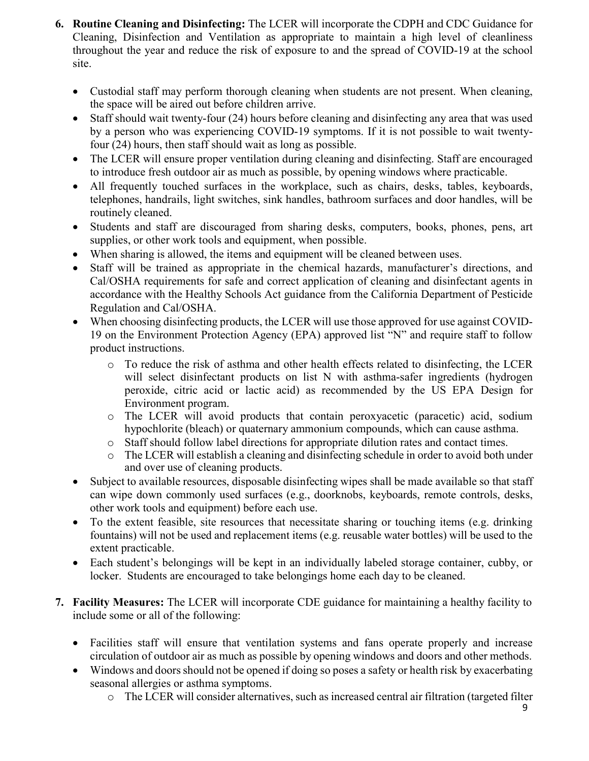- 6. Routine Cleaning and Disinfecting: The LCER will incorporate the CDPH and CDC Guidance for Cleaning, Disinfection and Ventilation as appropriate to maintain a high level of cleanliness throughout the year and reduce the risk of exposure to and the spread of COVID-19 at the school site.
	- Custodial staff may perform thorough cleaning when students are not present. When cleaning, the space will be aired out before children arrive.
	- Staff should wait twenty-four (24) hours before cleaning and disinfecting any area that was used by a person who was experiencing COVID-19 symptoms. If it is not possible to wait twentyfour (24) hours, then staff should wait as long as possible.
	- The LCER will ensure proper ventilation during cleaning and disinfecting. Staff are encouraged to introduce fresh outdoor air as much as possible, by opening windows where practicable.
	- All frequently touched surfaces in the workplace, such as chairs, desks, tables, keyboards, telephones, handrails, light switches, sink handles, bathroom surfaces and door handles, will be routinely cleaned.
	- Students and staff are discouraged from sharing desks, computers, books, phones, pens, art supplies, or other work tools and equipment, when possible.
	- When sharing is allowed, the items and equipment will be cleaned between uses.
	- Staff will be trained as appropriate in the chemical hazards, manufacturer's directions, and Cal/OSHA requirements for safe and correct application of cleaning and disinfectant agents in accordance with the Healthy Schools Act guidance from the California Department of Pesticide Regulation and Cal/OSHA.
	- When choosing disinfecting products, the LCER will use those approved for use against COVID-19 on the Environment Protection Agency (EPA) approved list "N" and require staff to follow product instructions.
		- o To reduce the risk of asthma and other health effects related to disinfecting, the LCER will select disinfectant products on list N with asthma-safer ingredients (hydrogen peroxide, citric acid or lactic acid) as recommended by the US EPA Design for Environment program.
		- o The LCER will avoid products that contain peroxyacetic (paracetic) acid, sodium hypochlorite (bleach) or quaternary ammonium compounds, which can cause asthma.
		- o Staff should follow label directions for appropriate dilution rates and contact times.
		- o The LCER will establish a cleaning and disinfecting schedule in order to avoid both under and over use of cleaning products.
	- Subject to available resources, disposable disinfecting wipes shall be made available so that staff can wipe down commonly used surfaces (e.g., doorknobs, keyboards, remote controls, desks, other work tools and equipment) before each use.
	- To the extent feasible, site resources that necessitate sharing or touching items (e.g. drinking fountains) will not be used and replacement items (e.g. reusable water bottles) will be used to the extent practicable.
	- Each student's belongings will be kept in an individually labeled storage container, cubby, or locker. Students are encouraged to take belongings home each day to be cleaned.
- 7. Facility Measures: The LCER will incorporate CDE guidance for maintaining a healthy facility to include some or all of the following:
	- Facilities staff will ensure that ventilation systems and fans operate properly and increase circulation of outdoor air as much as possible by opening windows and doors and other methods.
	- Windows and doors should not be opened if doing so poses a safety or health risk by exacerbating seasonal allergies or asthma symptoms.
		- o The LCER will consider alternatives, such as increased central air filtration (targeted filter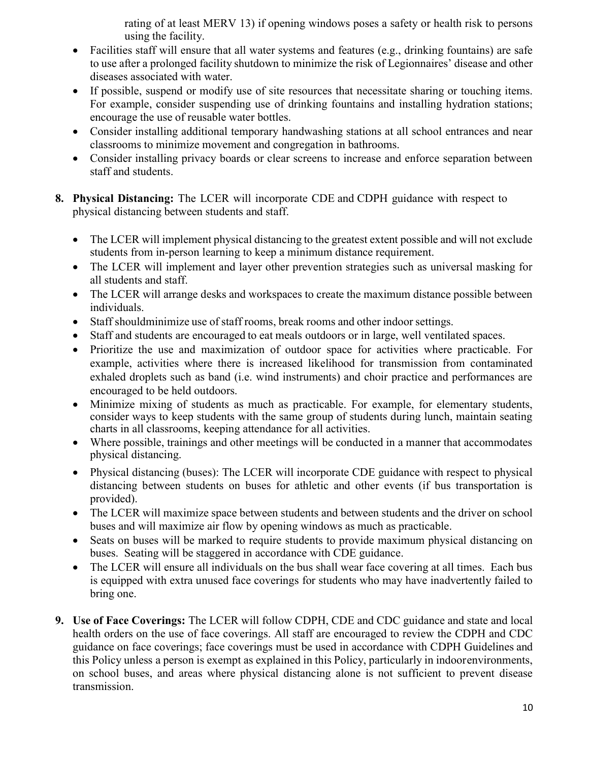rating of at least MERV 13) if opening windows poses a safety or health risk to persons using the facility.

- Facilities staff will ensure that all water systems and features (e.g., drinking fountains) are safe to use after a prolonged facility shutdown to minimize the risk of Legionnaires' disease and other diseases associated with water.
- If possible, suspend or modify use of site resources that necessitate sharing or touching items. For example, consider suspending use of drinking fountains and installing hydration stations; encourage the use of reusable water bottles.
- Consider installing additional temporary handwashing stations at all school entrances and near classrooms to minimize movement and congregation in bathrooms.
- Consider installing privacy boards or clear screens to increase and enforce separation between staff and students.
- 8. Physical Distancing: The LCER will incorporate CDE and CDPH guidance with respect to physical distancing between students and staff.
	- The LCER will implement physical distancing to the greatest extent possible and will not exclude students from in-person learning to keep a minimum distance requirement.
	- The LCER will implement and layer other prevention strategies such as universal masking for all students and staff.
	- The LCER will arrange desks and workspaces to create the maximum distance possible between individuals.
	- Staff should minimize use of staff rooms, break rooms and other indoor settings.
	- Staff and students are encouraged to eat meals outdoors or in large, well ventilated spaces.
	- Prioritize the use and maximization of outdoor space for activities where practicable. For example, activities where there is increased likelihood for transmission from contaminated exhaled droplets such as band (i.e. wind instruments) and choir practice and performances are encouraged to be held outdoors.
	- Minimize mixing of students as much as practicable. For example, for elementary students, consider ways to keep students with the same group of students during lunch, maintain seating charts in all classrooms, keeping attendance for all activities.
	- Where possible, trainings and other meetings will be conducted in a manner that accommodates physical distancing.
	- Physical distancing (buses): The LCER will incorporate CDE guidance with respect to physical distancing between students on buses for athletic and other events (if bus transportation is provided).
	- The LCER will maximize space between students and between students and the driver on school buses and will maximize air flow by opening windows as much as practicable.
	- Seats on buses will be marked to require students to provide maximum physical distancing on buses. Seating will be staggered in accordance with CDE guidance.
	- The LCER will ensure all individuals on the bus shall wear face covering at all times. Each bus is equipped with extra unused face coverings for students who may have inadvertently failed to bring one.
- 9. Use of Face Coverings: The LCER will follow CDPH, CDE and CDC guidance and state and local health orders on the use of face coverings. All staff are encouraged to review the CDPH and CDC guidance on face coverings; face coverings must be used in accordance with CDPH Guidelines and this Policy unless a person is exempt as explained in this Policy, particularly in indoor environments, on school buses, and areas where physical distancing alone is not sufficient to prevent disease transmission.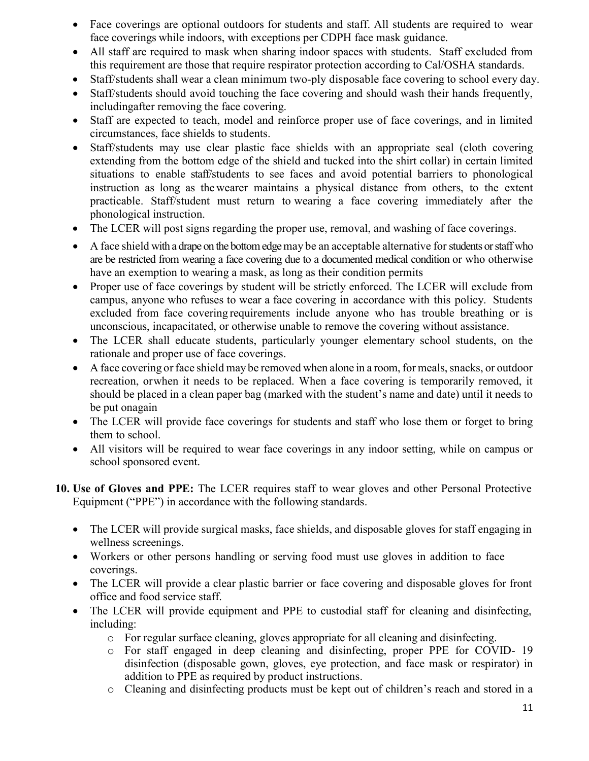- Face coverings are optional outdoors for students and staff. All students are required to wear face coverings while indoors, with exceptions per CDPH face mask guidance.
- All staff are required to mask when sharing indoor spaces with students. Staff excluded from this requirement are those that require respirator protection according to Cal/OSHA standards.
- Staff/students shall wear a clean minimum two-ply disposable face covering to school every day.
- Staff/students should avoid touching the face covering and should wash their hands frequently, including after removing the face covering.
- Staff are expected to teach, model and reinforce proper use of face coverings, and in limited circumstances, face shields to students.
- Staff/students may use clear plastic face shields with an appropriate seal (cloth covering extending from the bottom edge of the shield and tucked into the shirt collar) in certain limited situations to enable staff/students to see faces and avoid potential barriers to phonological instruction as long as the wearer maintains a physical distance from others, to the extent practicable. Staff/student must return to wearing a face covering immediately after the phonological instruction.
- The LCER will post signs regarding the proper use, removal, and washing of face coverings.
- A face shield with a drape on the bottom edge may be an acceptable alternative for students or staff who are be restricted from wearing a face covering due to a documented medical condition or who otherwise have an exemption to wearing a mask, as long as their condition permits
- Proper use of face coverings by student will be strictly enforced. The LCER will exclude from campus, anyone who refuses to wear a face covering in accordance with this policy. Students excluded from face covering requirements include anyone who has trouble breathing or is unconscious, incapacitated, or otherwise unable to remove the covering without assistance.
- The LCER shall educate students, particularly younger elementary school students, on the rationale and proper use of face coverings.
- A face covering or face shield may be removed when alone in a room, for meals, snacks, or outdoor recreation, or when it needs to be replaced. When a face covering is temporarily removed, it should be placed in a clean paper bag (marked with the student's name and date) until it needs to be put on again
- The LCER will provide face coverings for students and staff who lose them or forget to bring them to school.
- All visitors will be required to wear face coverings in any indoor setting, while on campus or school sponsored event.
- 10. Use of Gloves and PPE: The LCER requires staff to wear gloves and other Personal Protective Equipment ("PPE") in accordance with the following standards.
	- The LCER will provide surgical masks, face shields, and disposable gloves for staff engaging in wellness screenings.
	- Workers or other persons handling or serving food must use gloves in addition to face coverings.
	- The LCER will provide a clear plastic barrier or face covering and disposable gloves for front office and food service staff.
	- The LCER will provide equipment and PPE to custodial staff for cleaning and disinfecting, including:
		- o For regular surface cleaning, gloves appropriate for all cleaning and disinfecting.
		- o For staff engaged in deep cleaning and disinfecting, proper PPE for COVID- 19 disinfection (disposable gown, gloves, eye protection, and face mask or respirator) in addition to PPE as required by product instructions.
		- o Cleaning and disinfecting products must be kept out of children's reach and stored in a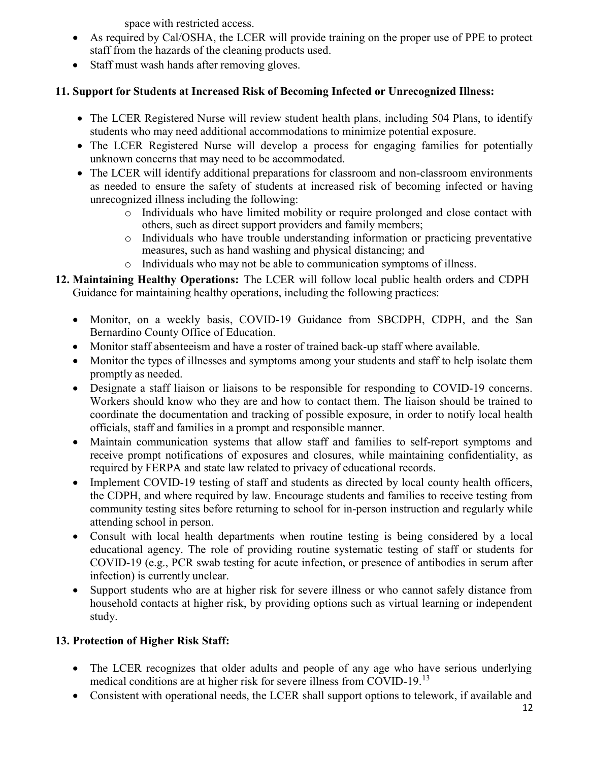space with restricted access.

- As required by Cal/OSHA, the LCER will provide training on the proper use of PPE to protect staff from the hazards of the cleaning products used.
- Staff must wash hands after removing gloves.

# 11. Support for Students at Increased Risk of Becoming Infected or Unrecognized Illness:

- The LCER Registered Nurse will review student health plans, including 504 Plans, to identify students who may need additional accommodations to minimize potential exposure.
- The LCER Registered Nurse will develop a process for engaging families for potentially unknown concerns that may need to be accommodated.
- The LCER will identify additional preparations for classroom and non-classroom environments as needed to ensure the safety of students at increased risk of becoming infected or having unrecognized illness including the following:
	- o Individuals who have limited mobility or require prolonged and close contact with others, such as direct support providers and family members;
	- o Individuals who have trouble understanding information or practicing preventative measures, such as hand washing and physical distancing; and
	- o Individuals who may not be able to communication symptoms of illness.
- 12. Maintaining Healthy Operations: The LCER will follow local public health orders and CDPH Guidance for maintaining healthy operations, including the following practices:
	- Monitor, on a weekly basis, COVID-19 Guidance from SBCDPH, CDPH, and the San Bernardino County Office of Education.
	- Monitor staff absenteeism and have a roster of trained back-up staff where available.
	- Monitor the types of illnesses and symptoms among your students and staff to help isolate them promptly as needed.
	- Designate a staff liaison or liaisons to be responsible for responding to COVID-19 concerns. Workers should know who they are and how to contact them. The liaison should be trained to coordinate the documentation and tracking of possible exposure, in order to notify local health officials, staff and families in a prompt and responsible manner.
	- Maintain communication systems that allow staff and families to self-report symptoms and receive prompt notifications of exposures and closures, while maintaining confidentiality, as required by FERPA and state law related to privacy of educational records.
	- Implement COVID-19 testing of staff and students as directed by local county health officers, the CDPH, and where required by law. Encourage students and families to receive testing from community testing sites before returning to school for in-person instruction and regularly while attending school in person.
	- Consult with local health departments when routine testing is being considered by a local educational agency. The role of providing routine systematic testing of staff or students for COVID-19 (e.g., PCR swab testing for acute infection, or presence of antibodies in serum after infection) is currently unclear.
	- Support students who are at higher risk for severe illness or who cannot safely distance from household contacts at higher risk, by providing options such as virtual learning or independent study.

# 13. Protection of Higher Risk Staff:

- The LCER recognizes that older adults and people of any age who have serious underlying medical conditions are at higher risk for severe illness from COVID-19.<sup>13</sup>
- Consistent with operational needs, the LCER shall support options to telework, if available and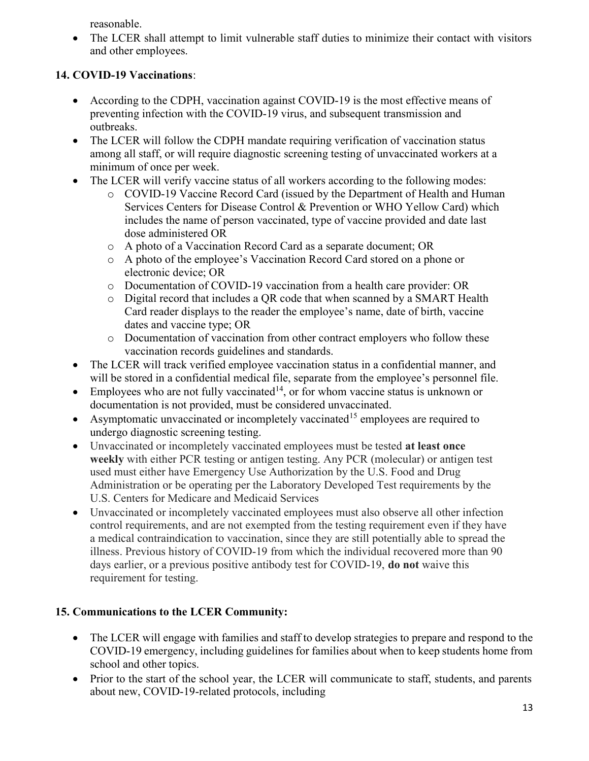reasonable.

• The LCER shall attempt to limit vulnerable staff duties to minimize their contact with visitors and other employees.

## 14. COVID-19 Vaccinations:

- According to the CDPH, vaccination against COVID-19 is the most effective means of preventing infection with the COVID-19 virus, and subsequent transmission and outbreaks.
- The LCER will follow the CDPH mandate requiring verification of vaccination status among all staff, or will require diagnostic screening testing of unvaccinated workers at a minimum of once per week.
- The LCER will verify vaccine status of all workers according to the following modes:
	- o COVID-19 Vaccine Record Card (issued by the Department of Health and Human Services Centers for Disease Control & Prevention or WHO Yellow Card) which includes the name of person vaccinated, type of vaccine provided and date last dose administered OR
	- o A photo of a Vaccination Record Card as a separate document; OR
	- o A photo of the employee's Vaccination Record Card stored on a phone or electronic device; OR
	- o Documentation of COVID-19 vaccination from a health care provider: OR
	- o Digital record that includes a QR code that when scanned by a SMART Health Card reader displays to the reader the employee's name, date of birth, vaccine dates and vaccine type; OR
	- o Documentation of vaccination from other contract employers who follow these vaccination records guidelines and standards.
- The LCER will track verified employee vaccination status in a confidential manner, and will be stored in a confidential medical file, separate from the employee's personnel file.
- $\bullet$  Employees who are not fully vaccinated<sup>14</sup>, or for whom vaccine status is unknown or documentation is not provided, must be considered unvaccinated.
- Asymptomatic unvaccinated or incompletely vaccinated<sup>15</sup> employees are required to undergo diagnostic screening testing.
- Unvaccinated or incompletely vaccinated employees must be tested at least once weekly with either PCR testing or antigen testing. Any PCR (molecular) or antigen test used must either have Emergency Use Authorization by the U.S. Food and Drug Administration or be operating per the Laboratory Developed Test requirements by the U.S. Centers for Medicare and Medicaid Services
- Unvaccinated or incompletely vaccinated employees must also observe all other infection control requirements, and are not exempted from the testing requirement even if they have a medical contraindication to vaccination, since they are still potentially able to spread the illness. Previous history of COVID-19 from which the individual recovered more than 90 days earlier, or a previous positive antibody test for COVID-19, do not waive this requirement for testing.

## 15. Communications to the LCER Community:

- The LCER will engage with families and staff to develop strategies to prepare and respond to the COVID-19 emergency, including guidelines for families about when to keep students home from school and other topics.
- Prior to the start of the school year, the LCER will communicate to staff, students, and parents about new, COVID-19-related protocols, including